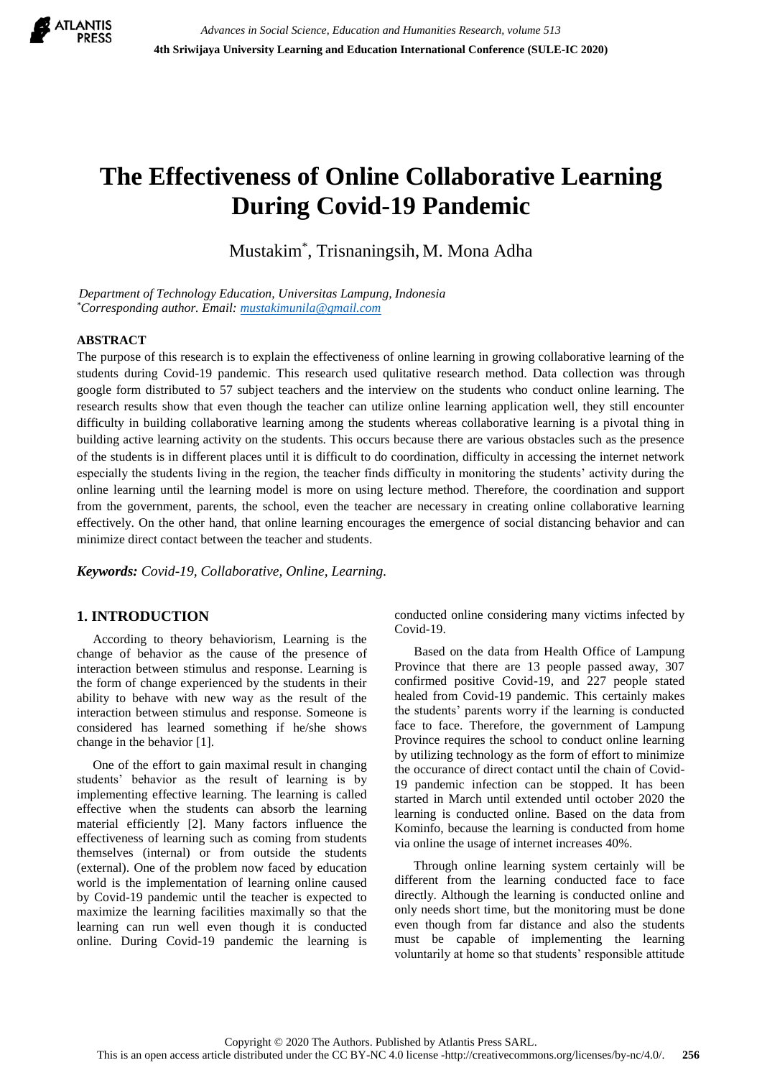

# **The Effectiveness of Online Collaborative Learning During Covid-19 Pandemic**

Mustakim\* , Trisnaningsih, M. Mona Adha

*Department of Technology Education, Universitas Lampung, Indonesia \*Corresponding author. Email[: mustakimunila@gmail.com](mailto:mustakimunila@gmail.com)*

## **ABSTRACT**

The purpose of this research is to explain the effectiveness of online learning in growing collaborative learning of the students during Covid-19 pandemic. This research used qulitative research method. Data collection was through google form distributed to 57 subject teachers and the interview on the students who conduct online learning. The research results show that even though the teacher can utilize online learning application well, they still encounter difficulty in building collaborative learning among the students whereas collaborative learning is a pivotal thing in building active learning activity on the students. This occurs because there are various obstacles such as the presence of the students is in different places until it is difficult to do coordination, difficulty in accessing the internet network especially the students living in the region, the teacher finds difficulty in monitoring the students' activity during the online learning until the learning model is more on using lecture method. Therefore, the coordination and support from the government, parents, the school, even the teacher are necessary in creating online collaborative learning effectively. On the other hand, that online learning encourages the emergence of social distancing behavior and can minimize direct contact between the teacher and students.

*Keywords: Covid-19, Collaborative, Online, Learning.*

# **1. INTRODUCTION**

 According to theory behaviorism, Learning is the change of behavior as the cause of the presence of interaction between stimulus and response. Learning is the form of change experienced by the students in their ability to behave with new way as the result of the interaction between stimulus and response. Someone is considered has learned something if he/she shows change in the behavior [1].

 One of the effort to gain maximal result in changing students' behavior as the result of learning is by implementing effective learning. The learning is called effective when the students can absorb the learning material efficiently [2]. Many factors influence the effectiveness of learning such as coming from students themselves (internal) or from outside the students (external). One of the problem now faced by education world is the implementation of learning online caused by Covid-19 pandemic until the teacher is expected to maximize the learning facilities maximally so that the learning can run well even though it is conducted online. During Covid-19 pandemic the learning is conducted online considering many victims infected by Covid-19.

 Based on the data from Health Office of Lampung Province that there are 13 people passed away, 307 confirmed positive Covid-19, and 227 people stated healed from Covid-19 pandemic. This certainly makes the students' parents worry if the learning is conducted face to face. Therefore, the government of Lampung Province requires the school to conduct online learning by utilizing technology as the form of effort to minimize the occurance of direct contact until the chain of Covid-19 pandemic infection can be stopped. It has been started in March until extended until october 2020 the learning is conducted online. Based on the data from Kominfo, because the learning is conducted from home via online the usage of internet increases 40%.

 Through online learning system certainly will be different from the learning conducted face to face directly. Although the learning is conducted online and only needs short time, but the monitoring must be done even though from far distance and also the students must be capable of implementing the learning voluntarily at home so that students' responsible attitude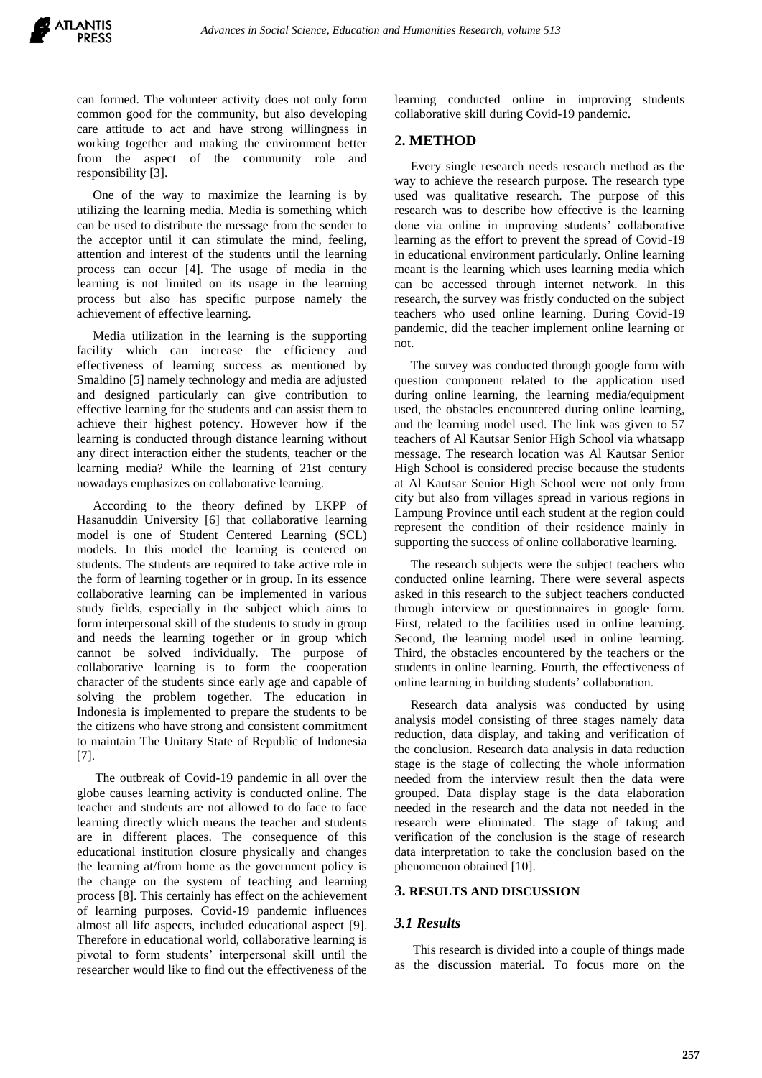can formed. The volunteer activity does not only form common good for the community, but also developing care attitude to act and have strong willingness in working together and making the environment better from the aspect of the community role and responsibility [3].

 One of the way to maximize the learning is by utilizing the learning media. Media is something which can be used to distribute the message from the sender to the acceptor until it can stimulate the mind, feeling, attention and interest of the students until the learning process can occur [4]. The usage of media in the learning is not limited on its usage in the learning process but also has specific purpose namely the achievement of effective learning.

 Media utilization in the learning is the supporting facility which can increase the efficiency and effectiveness of learning success as mentioned by Smaldino [5] namely technology and media are adjusted and designed particularly can give contribution to effective learning for the students and can assist them to achieve their highest potency. However how if the learning is conducted through distance learning without any direct interaction either the students, teacher or the learning media? While the learning of 21st century nowadays emphasizes on collaborative learning.

 According to the theory defined by LKPP of Hasanuddin University [6] that collaborative learning model is one of Student Centered Learning (SCL) models. In this model the learning is centered on students. The students are required to take active role in the form of learning together or in group. In its essence collaborative learning can be implemented in various study fields, especially in the subject which aims to form interpersonal skill of the students to study in group and needs the learning together or in group which cannot be solved individually. The purpose of collaborative learning is to form the cooperation character of the students since early age and capable of solving the problem together. The education in Indonesia is implemented to prepare the students to be the citizens who have strong and consistent commitment to maintain The Unitary State of Republic of Indonesia [7].

The outbreak of Covid-19 pandemic in all over the globe causes learning activity is conducted online. The teacher and students are not allowed to do face to face learning directly which means the teacher and students are in different places. The consequence of this educational institution closure physically and changes the learning at/from home as the government policy is the change on the system of teaching and learning process [8]. This certainly has effect on the achievement of learning purposes. Covid-19 pandemic influences almost all life aspects, included educational aspect [9]. Therefore in educational world, collaborative learning is pivotal to form students' interpersonal skill until the researcher would like to find out the effectiveness of the learning conducted online in improving students collaborative skill during Covid-19 pandemic.

## **2. METHOD**

 Every single research needs research method as the way to achieve the research purpose. The research type used was qualitative research. The purpose of this research was to describe how effective is the learning done via online in improving students' collaborative learning as the effort to prevent the spread of Covid-19 in educational environment particularly. Online learning meant is the learning which uses learning media which can be accessed through internet network. In this research, the survey was fristly conducted on the subject teachers who used online learning. During Covid-19 pandemic, did the teacher implement online learning or not.

 The survey was conducted through google form with question component related to the application used during online learning, the learning media/equipment used, the obstacles encountered during online learning, and the learning model used. The link was given to 57 teachers of Al Kautsar Senior High School via whatsapp message. The research location was Al Kautsar Senior High School is considered precise because the students at Al Kautsar Senior High School were not only from city but also from villages spread in various regions in Lampung Province until each student at the region could represent the condition of their residence mainly in supporting the success of online collaborative learning.

 The research subjects were the subject teachers who conducted online learning. There were several aspects asked in this research to the subject teachers conducted through interview or questionnaires in google form. First, related to the facilities used in online learning. Second, the learning model used in online learning. Third, the obstacles encountered by the teachers or the students in online learning. Fourth, the effectiveness of online learning in building students' collaboration.

 Research data analysis was conducted by using analysis model consisting of three stages namely data reduction, data display, and taking and verification of the conclusion. Research data analysis in data reduction stage is the stage of collecting the whole information needed from the interview result then the data were grouped. Data display stage is the data elaboration needed in the research and the data not needed in the research were eliminated. The stage of taking and verification of the conclusion is the stage of research data interpretation to take the conclusion based on the phenomenon obtained [10].

#### **3. RESULTS AND DISCUSSION**

#### *3.1 Results*

This research is divided into a couple of things made as the discussion material. To focus more on the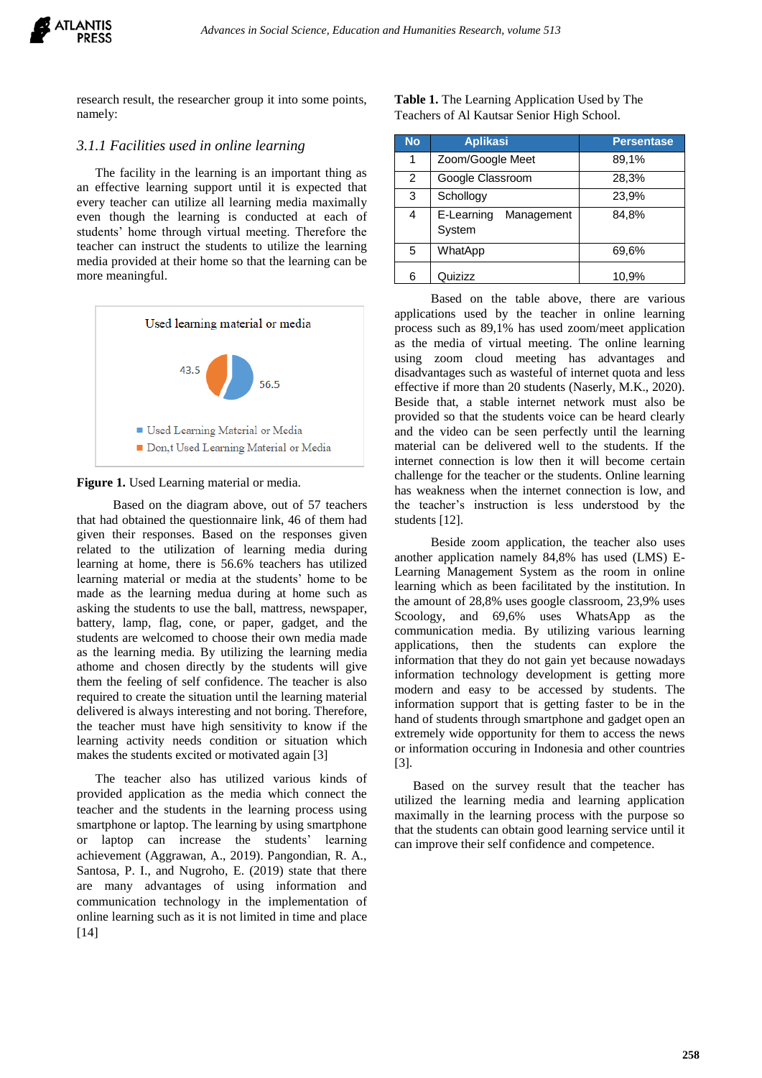

research result, the researcher group it into some points, namely:

## *3.1.1 Facilities used in online learning*

The facility in the learning is an important thing as an effective learning support until it is expected that every teacher can utilize all learning media maximally even though the learning is conducted at each of students' home through virtual meeting. Therefore the teacher can instruct the students to utilize the learning media provided at their home so that the learning can be more meaningful.



## Figure 1. Used Learning material or media.

Based on the diagram above, out of 57 teachers that had obtained the questionnaire link, 46 of them had given their responses. Based on the responses given related to the utilization of learning media during learning at home, there is 56.6% teachers has utilized learning material or media at the students' home to be made as the learning medua during at home such as asking the students to use the ball, mattress, newspaper, battery, lamp, flag, cone, or paper, gadget, and the students are welcomed to choose their own media made as the learning media. By utilizing the learning media athome and chosen directly by the students will give them the feeling of self confidence. The teacher is also required to create the situation until the learning material delivered is always interesting and not boring. Therefore, the teacher must have high sensitivity to know if the learning activity needs condition or situation which makes the students excited or motivated again [3]

The teacher also has utilized various kinds of provided application as the media which connect the teacher and the students in the learning process using smartphone or laptop. The learning by using smartphone or laptop can increase the students' learning achievement (Aggrawan, A., 2019). Pangondian, R. A., Santosa, P. I., and Nugroho, E. (2019) state that there are many advantages of using information and communication technology in the implementation of online learning such as it is not limited in time and place [14]

| <b>Table 1.</b> The Learning Application Used by The |  |
|------------------------------------------------------|--|
| Teachers of Al Kautsar Senior High School.           |  |

| <b>No</b>      | <b>Aplikasi</b>                    | <b>Persentase</b> |
|----------------|------------------------------------|-------------------|
| 1              | Zoom/Google Meet                   | 89,1%             |
| $\overline{2}$ | Google Classroom                   | 28,3%             |
| 3              | Schollogy                          | 23,9%             |
| 4              | E-Learning<br>Management<br>System | 84,8%             |
| 5              | WhatApp                            | 69,6%             |
| 6              | Quizizz                            | 10.9%             |

Based on the table above, there are various applications used by the teacher in online learning process such as 89,1% has used zoom/meet application as the media of virtual meeting. The online learning using zoom cloud meeting has advantages and disadvantages such as wasteful of internet quota and less effective if more than 20 students (Naserly, M.K., 2020). Beside that, a stable internet network must also be provided so that the students voice can be heard clearly and the video can be seen perfectly until the learning material can be delivered well to the students. If the internet connection is low then it will become certain challenge for the teacher or the students. Online learning has weakness when the internet connection is low, and the teacher's instruction is less understood by the students [12].

Beside zoom application, the teacher also uses another application namely 84,8% has used (LMS) E-Learning Management System as the room in online learning which as been facilitated by the institution. In the amount of 28,8% uses google classroom, 23,9% uses Scoology, and 69,6% uses WhatsApp as the communication media. By utilizing various learning applications, then the students can explore the information that they do not gain yet because nowadays information technology development is getting more modern and easy to be accessed by students. The information support that is getting faster to be in the hand of students through smartphone and gadget open an extremely wide opportunity for them to access the news or information occuring in Indonesia and other countries [3].

Based on the survey result that the teacher has utilized the learning media and learning application maximally in the learning process with the purpose so that the students can obtain good learning service until it can improve their self confidence and competence.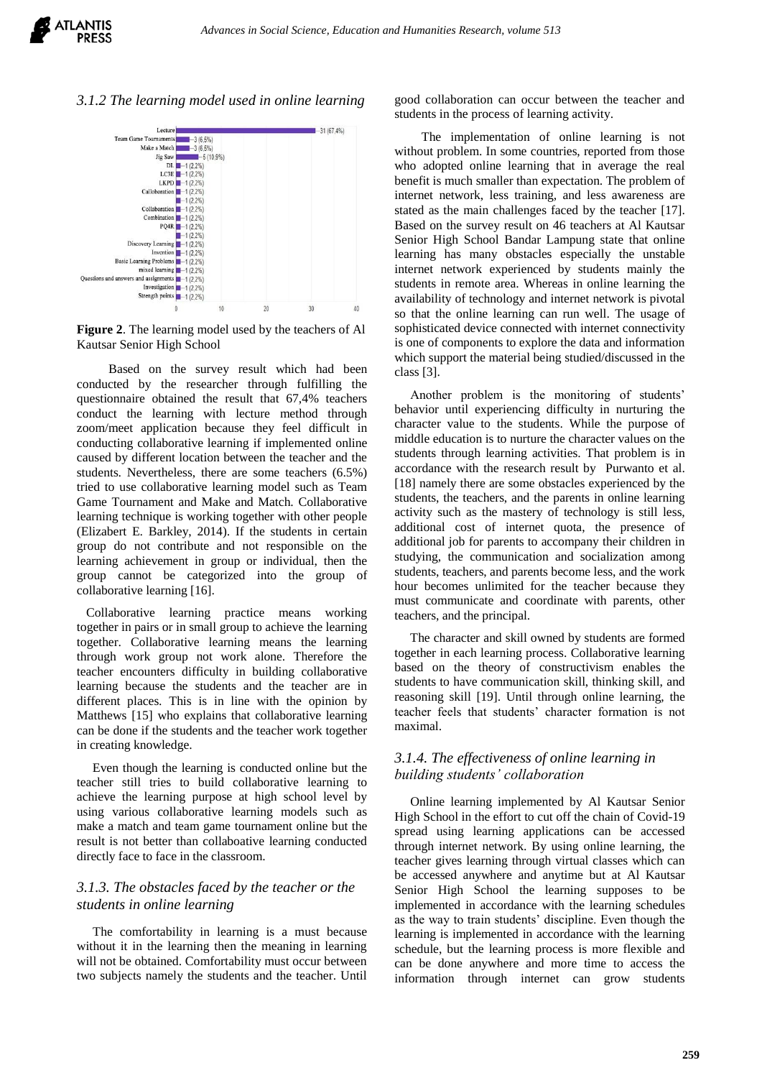*3.1.2 The learning model used in online learning*



**Figure 2**. The learning model used by the teachers of Al Kautsar Senior High School

Based on the survey result which had been conducted by the researcher through fulfilling the questionnaire obtained the result that 67,4% teachers conduct the learning with lecture method through zoom/meet application because they feel difficult in conducting collaborative learning if implemented online caused by different location between the teacher and the students. Nevertheless, there are some teachers (6.5%) tried to use collaborative learning model such as Team Game Tournament and Make and Match. Collaborative learning technique is working together with other people (Elizabert E. Barkley, 2014). If the students in certain group do not contribute and not responsible on the learning achievement in group or individual, then the group cannot be categorized into the group of collaborative learning [16].

 Collaborative learning practice means working together in pairs or in small group to achieve the learning together. Collaborative learning means the learning through work group not work alone. Therefore the teacher encounters difficulty in building collaborative learning because the students and the teacher are in different places. This is in line with the opinion by Matthews [15] who explains that collaborative learning can be done if the students and the teacher work together in creating knowledge.

 Even though the learning is conducted online but the teacher still tries to build collaborative learning to achieve the learning purpose at high school level by using various collaborative learning models such as make a match and team game tournament online but the result is not better than collaboative learning conducted directly face to face in the classroom.

# *3.1.3. The obstacles faced by the teacher or the students in online learning*

The comfortability in learning is a must because without it in the learning then the meaning in learning will not be obtained. Comfortability must occur between two subjects namely the students and the teacher. Until good collaboration can occur between the teacher and students in the process of learning activity.

The implementation of online learning is not without problem. In some countries, reported from those who adopted online learning that in average the real benefit is much smaller than expectation. The problem of internet network, less training, and less awareness are stated as the main challenges faced by the teacher [17]. Based on the survey result on 46 teachers at Al Kautsar Senior High School Bandar Lampung state that online learning has many obstacles especially the unstable internet network experienced by students mainly the students in remote area. Whereas in online learning the availability of technology and internet network is pivotal so that the online learning can run well. The usage of sophisticated device connected with internet connectivity is one of components to explore the data and information which support the material being studied/discussed in the class [3].

 Another problem is the monitoring of students' behavior until experiencing difficulty in nurturing the character value to the students. While the purpose of middle education is to nurture the character values on the students through learning activities. That problem is in accordance with the research result by Purwanto et al. [18] namely there are some obstacles experienced by the students, the teachers, and the parents in online learning activity such as the mastery of technology is still less, additional cost of internet quota, the presence of additional job for parents to accompany their children in studying, the communication and socialization among students, teachers, and parents become less, and the work hour becomes unlimited for the teacher because they must communicate and coordinate with parents, other teachers, and the principal.

 The character and skill owned by students are formed together in each learning process. Collaborative learning based on the theory of constructivism enables the students to have communication skill, thinking skill, and reasoning skill [19]. Until through online learning, the teacher feels that students' character formation is not maximal.

## *3.1.4. The effectiveness of online learning in building students' collaboration*

 Online learning implemented by Al Kautsar Senior High School in the effort to cut off the chain of Covid-19 spread using learning applications can be accessed through internet network. By using online learning, the teacher gives learning through virtual classes which can be accessed anywhere and anytime but at Al Kautsar Senior High School the learning supposes to be implemented in accordance with the learning schedules as the way to train students' discipline. Even though the learning is implemented in accordance with the learning schedule, but the learning process is more flexible and can be done anywhere and more time to access the information through internet can grow students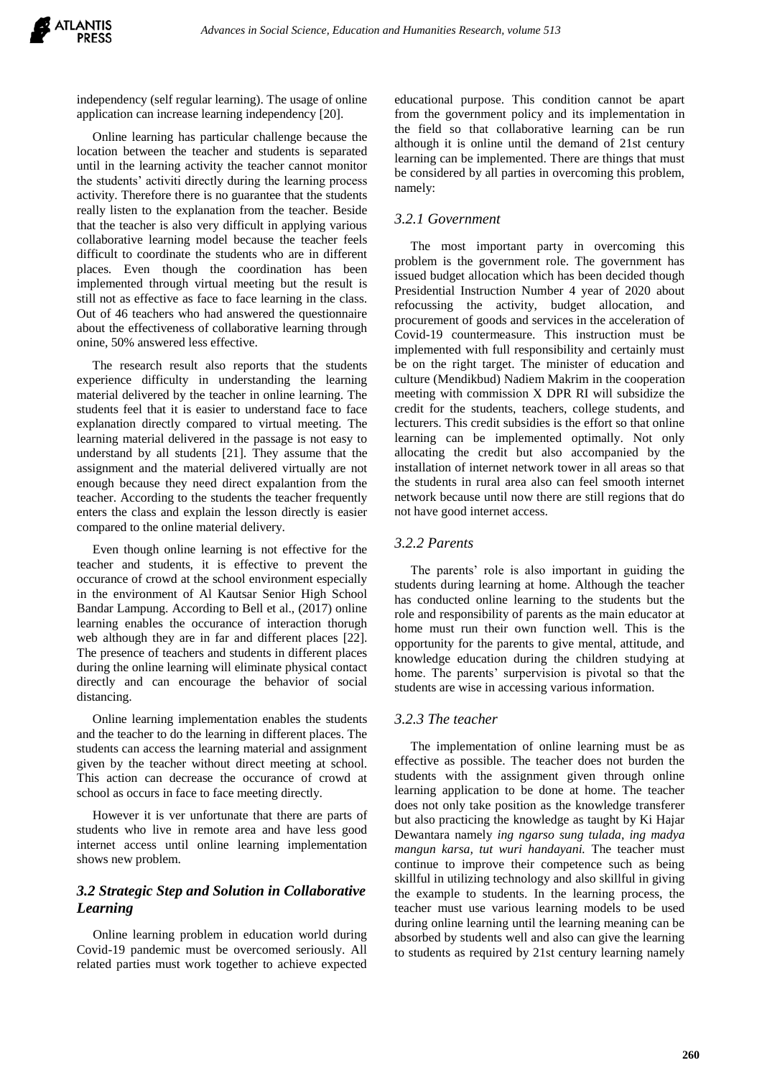independency (self regular learning). The usage of online application can increase learning independency [20].

 Online learning has particular challenge because the location between the teacher and students is separated until in the learning activity the teacher cannot monitor the students' activiti directly during the learning process activity. Therefore there is no guarantee that the students really listen to the explanation from the teacher. Beside that the teacher is also very difficult in applying various collaborative learning model because the teacher feels difficult to coordinate the students who are in different places. Even though the coordination has been implemented through virtual meeting but the result is still not as effective as face to face learning in the class. Out of 46 teachers who had answered the questionnaire about the effectiveness of collaborative learning through onine, 50% answered less effective.

 The research result also reports that the students experience difficulty in understanding the learning material delivered by the teacher in online learning. The students feel that it is easier to understand face to face explanation directly compared to virtual meeting. The learning material delivered in the passage is not easy to understand by all students [21]. They assume that the assignment and the material delivered virtually are not enough because they need direct expalantion from the teacher. According to the students the teacher frequently enters the class and explain the lesson directly is easier compared to the online material delivery.

 Even though online learning is not effective for the teacher and students, it is effective to prevent the occurance of crowd at the school environment especially in the environment of Al Kautsar Senior High School Bandar Lampung. According to Bell et al., (2017) online learning enables the occurance of interaction thorugh web although they are in far and different places [22]. The presence of teachers and students in different places during the online learning will eliminate physical contact directly and can encourage the behavior of social distancing.

 Online learning implementation enables the students and the teacher to do the learning in different places. The students can access the learning material and assignment given by the teacher without direct meeting at school. This action can decrease the occurance of crowd at school as occurs in face to face meeting directly.

 However it is ver unfortunate that there are parts of students who live in remote area and have less good internet access until online learning implementation shows new problem.

# *3.2 Strategic Step and Solution in Collaborative Learning*

 Online learning problem in education world during Covid-19 pandemic must be overcomed seriously. All related parties must work together to achieve expected educational purpose. This condition cannot be apart from the government policy and its implementation in the field so that collaborative learning can be run although it is online until the demand of 21st century learning can be implemented. There are things that must be considered by all parties in overcoming this problem, namely:

## *3.2.1 Government*

 The most important party in overcoming this problem is the government role. The government has issued budget allocation which has been decided though Presidential Instruction Number 4 year of 2020 about refocussing the activity, budget allocation, and procurement of goods and services in the acceleration of Covid-19 countermeasure. This instruction must be implemented with full responsibility and certainly must be on the right target. The minister of education and culture (Mendikbud) Nadiem Makrim in the cooperation meeting with commission X DPR RI will subsidize the credit for the students, teachers, college students, and lecturers. This credit subsidies is the effort so that online learning can be implemented optimally. Not only allocating the credit but also accompanied by the installation of internet network tower in all areas so that the students in rural area also can feel smooth internet network because until now there are still regions that do not have good internet access.

#### *3.2.2 Parents*

 The parents' role is also important in guiding the students during learning at home. Although the teacher has conducted online learning to the students but the role and responsibility of parents as the main educator at home must run their own function well. This is the opportunity for the parents to give mental, attitude, and knowledge education during the children studying at home. The parents' surpervision is pivotal so that the students are wise in accessing various information.

#### *3.2.3 The teacher*

 The implementation of online learning must be as effective as possible. The teacher does not burden the students with the assignment given through online learning application to be done at home. The teacher does not only take position as the knowledge transferer but also practicing the knowledge as taught by Ki Hajar Dewantara namely *ing ngarso sung tulada, ing madya mangun karsa, tut wuri handayani.* The teacher must continue to improve their competence such as being skillful in utilizing technology and also skillful in giving the example to students. In the learning process, the teacher must use various learning models to be used during online learning until the learning meaning can be absorbed by students well and also can give the learning to students as required by 21st century learning namely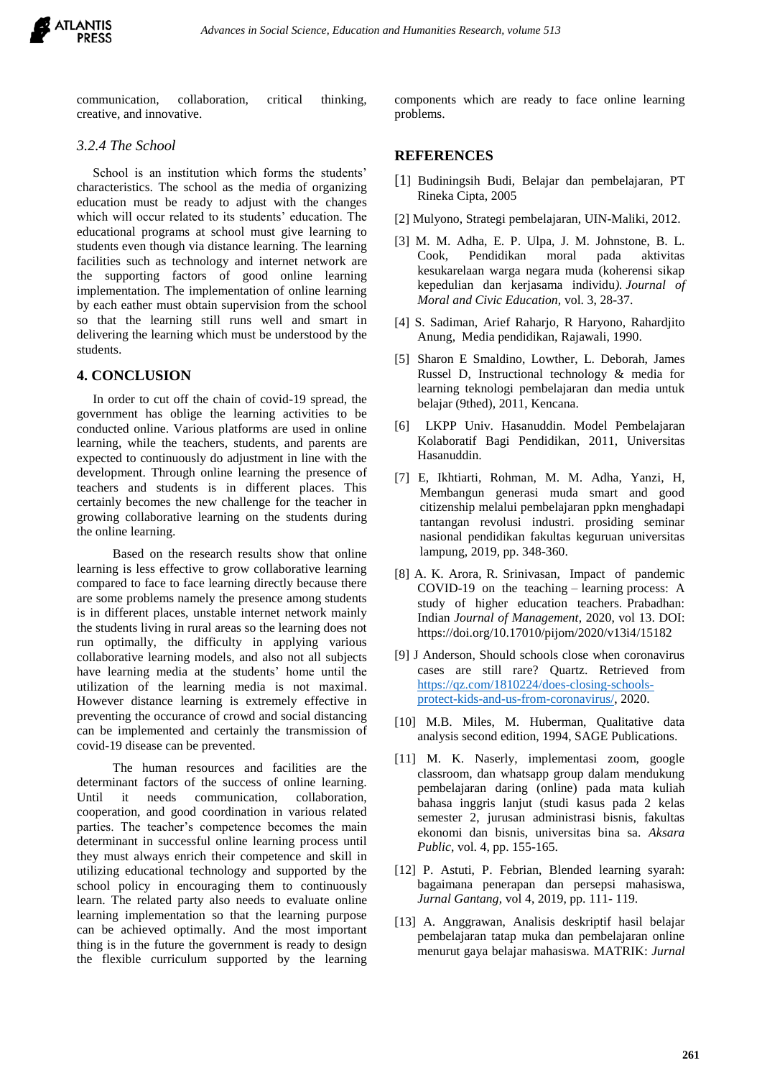communication, collaboration, critical thinking, creative, and innovative.

## *3.2.4 The School*

 School is an institution which forms the students' characteristics. The school as the media of organizing education must be ready to adjust with the changes which will occur related to its students' education. The educational programs at school must give learning to students even though via distance learning. The learning facilities such as technology and internet network are the supporting factors of good online learning implementation. The implementation of online learning by each eather must obtain supervision from the school so that the learning still runs well and smart in delivering the learning which must be understood by the students.

## **4. CONCLUSION**

 In order to cut off the chain of covid-19 spread, the government has oblige the learning activities to be conducted online. Various platforms are used in online learning, while the teachers, students, and parents are expected to continuously do adjustment in line with the development. Through online learning the presence of teachers and students is in different places. This certainly becomes the new challenge for the teacher in growing collaborative learning on the students during the online learning.

Based on the research results show that online learning is less effective to grow collaborative learning compared to face to face learning directly because there are some problems namely the presence among students is in different places, unstable internet network mainly the students living in rural areas so the learning does not run optimally, the difficulty in applying various collaborative learning models, and also not all subjects have learning media at the students' home until the utilization of the learning media is not maximal. However distance learning is extremely effective in preventing the occurance of crowd and social distancing can be implemented and certainly the transmission of covid-19 disease can be prevented.

The human resources and facilities are the determinant factors of the success of online learning. Until it needs communication, collaboration, cooperation, and good coordination in various related parties. The teacher's competence becomes the main determinant in successful online learning process until they must always enrich their competence and skill in utilizing educational technology and supported by the school policy in encouraging them to continuously learn. The related party also needs to evaluate online learning implementation so that the learning purpose can be achieved optimally. And the most important thing is in the future the government is ready to design the flexible curriculum supported by the learning

components which are ready to face online learning problems.

## **REFERENCES**

- [1] Budiningsih Budi, Belajar dan pembelajaran, PT Rineka Cipta, 2005
- [2] Mulyono, Strategi pembelajaran, UIN-Maliki, 2012.
- [3] M. M. Adha, E. P. Ulpa, J. M. Johnstone, B. L. Cook, Pendidikan moral pada aktivitas kesukarelaan warga negara muda (koherensi sikap kepedulian dan kerjasama individu*). Journal of Moral and Civic Education,* vol. 3, 28-37.
- [4] S. Sadiman, Arief Raharjo, R Haryono, Rahardjito Anung, Media pendidikan, Rajawali, 1990.
- [5] Sharon E Smaldino, Lowther, L. Deborah, James Russel D, Instructional technology & media for learning teknologi pembelajaran dan media untuk belajar (9thed), 2011, Kencana.
- [6] LKPP Univ. Hasanuddin. Model Pembelajaran Kolaboratif Bagi Pendidikan, 2011, Universitas Hasanuddin.
- [7] E, Ikhtiarti, Rohman, M. M. Adha, Yanzi, H, Membangun generasi muda smart and good citizenship melalui pembelajaran ppkn menghadapi tantangan revolusi industri. prosiding seminar nasional pendidikan fakultas keguruan universitas lampung, 2019, pp. 348-360.
- [8] A. K. Arora, R. Srinivasan, Impact of pandemic COVID-19 on the teaching – learning process: A study of higher education teachers. Prabadhan: Indian *Journal of Management*, 2020, vol 13. DOI: https://doi.org/10.17010/pijom/2020/v13i4/15182
- [9] J Anderson, Should schools close when coronavirus cases are still rare? Quartz. Retrieved from [https://qz.com/1810224/does-closing-schools](https://qz.com/1810224/does-closing-schools-protect-kids-and-us-from-coronavirus/)[protect-kids-and-us-from-coronavirus/,](https://qz.com/1810224/does-closing-schools-protect-kids-and-us-from-coronavirus/) 2020.
- [10] M.B. Miles, M. Huberman, Qualitative data analysis second edition, 1994, SAGE Publications.
- [11] M. K. Naserly, implementasi zoom, google classroom, dan whatsapp group dalam mendukung pembelajaran daring (online) pada mata kuliah bahasa inggris lanjut (studi kasus pada 2 kelas semester 2, jurusan administrasi bisnis, fakultas ekonomi dan bisnis, universitas bina sa. *Aksara Public*, vol. 4, pp. 155-165.
- [12] P. Astuti, P. Febrian, Blended learning syarah: bagaimana penerapan dan persepsi mahasiswa, *Jurnal Gantang*, vol 4, 2019, pp. 111- 119.
- [13] A. Anggrawan, Analisis deskriptif hasil belajar pembelajaran tatap muka dan pembelajaran online menurut gaya belajar mahasiswa*.* MATRIK: *Jurnal*